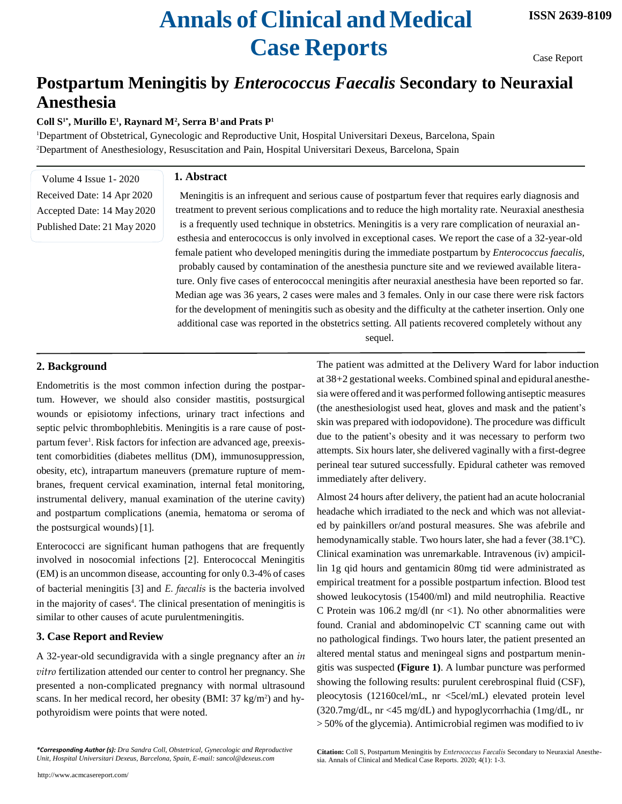# **Annals of Clinical and Medical Case Reports**

Case Report

# **Postpartum Meningitis by** *Enterococcus Faecalis* **Secondary to Neuraxial Anesthesia**

# **Coll S1\*, Murillo E<sup>1</sup> , Raynard M<sup>2</sup> , Serra B1 and Prats P<sup>1</sup>**

<sup>1</sup>Department of Obstetrical, Gynecologic and Reproductive Unit, Hospital Universitari Dexeus, Barcelona, Spain <sup>2</sup>Department of Anesthesiology, Resuscitation and Pain, Hospital Universitari Dexeus, Barcelona, Spain

Volume 4 Issue 1- 2020 Received Date: 14 Apr 2020 Accepted Date: 14 May 2020 Published Date: 21 May 2020

#### **1. Abstract**

Meningitis is an infrequent and serious cause of postpartum fever that requires early diagnosis and treatment to prevent serious complications and to reduce the high mortality rate. Neuraxial anesthesia is a frequently used technique in obstetrics. Meningitis is a very rare complication of neuraxial anesthesia and enterococcus is only involved in exceptional cases. We report the case of a 32-year-old female patient who developed meningitis during the immediate postpartum by *Enterococcus faecalis,*  probably caused by contamination of the anesthesia puncture site and we reviewed available literature. Only five cases of enterococcal meningitis after neuraxial anesthesia have been reported so far. Median age was 36 years, 2 cases were males and 3 females. Only in our case there were risk factors for the development of meningitis such as obesity and the difficulty at the catheter insertion. Only one additional case was reported in the obstetrics setting. All patients recovered completely without any sequel.

### **2. Background**

Endometritis is the most common infection during the postpartum. However, we should also consider mastitis, postsurgical wounds or episiotomy infections, urinary tract infections and septic pelvic thrombophlebitis. Meningitis is a rare cause of postpartum fever<sup>1</sup>. Risk factors for infection are advanced age, preexistent comorbidities (diabetes mellitus (DM), immunosuppression, obesity, etc), intrapartum maneuvers (premature rupture of membranes, frequent cervical examination, internal fetal monitoring, instrumental delivery, manual examination of the uterine cavity) and postpartum complications (anemia, hematoma or seroma of the postsurgical wounds) [1].

Enterococci are significant human pathogens that are frequently involved in nosocomial infections [2]. Enterococcal Meningitis (EM) is an uncommon disease, accounting for only 0.3-4% of cases of bacterial meningitis [3] and *E. faecalis* is the bacteria involved in the majority of cases<sup>4</sup>. The clinical presentation of meningitis is similar to other causes of acute purulentmeningitis.

# **3. Case Report andReview**

A 32-year-old secundigravida with a single pregnancy after an *in vitro* fertilization attended our center to control her pregnancy. She presented a non-complicated pregnancy with normal ultrasound scans. In her medical record, her obesity (BMI: 37 kg/m<sup>2</sup>) and hypothyroidism were points that were noted.

The patient was admitted at the Delivery Ward for labor induction at 38+2 gestational weeks. Combined spinal and epidural anesthesia were offered and it was performed following antiseptic measures (the anesthesiologist used heat, gloves and mask and the patient's skin was prepared with iodopovidone). The procedure was difficult due to the patient's obesity and it was necessary to perform two attempts. Six hours later, she delivered vaginally with a first-degree perineal tear sutured successfully. Epidural catheter was removed immediately after delivery.

Almost 24 hours after delivery, the patient had an acute holocranial headache which irradiated to the neck and which was not alleviated by painkillers or/and postural measures. She was afebrile and hemodynamically stable. Two hours later, she had a fever (38.1ºC). Clinical examination was unremarkable. Intravenous (iv) ampicillin 1g qid hours and gentamicin 80mg tid were administrated as empirical treatment for a possible postpartum infection. Blood test showed leukocytosis (15400/ml) and mild neutrophilia. Reactive C Protein was  $106.2 \text{ mg/dl}$  (nr <1). No other abnormalities were found. Cranial and abdominopelvic CT scanning came out with no pathological findings. Two hours later, the patient presented an altered mental status and meningeal signs and postpartum meningitis was suspected **(Figure 1)**. A lumbar puncture was performed showing the following results: purulent cerebrospinal fluid (CSF), pleocytosis (12160cel/mL, nr <5cel/mL) elevated protein level (320.7mg/dL, nr <45 mg/dL) and hypoglycorrhachia (1mg/dL, nr > 50% of the glycemia). Antimicrobial regimen was modified to iv

**Citation:** Coll S, Postpartum Meningitis by *Enterococcus Faecalis* Secondary to Neuraxial Anesthesia. Annals of Clinical and Medical Case Reports. 2020; 4(1): 1-3.

*<sup>\*</sup>Corresponding Author (s): Dra Sandra Coll, Obstetrical, Gynecologic and Reproductive Unit, Hospital Universitari Dexeus, Barcelona, Spain, E-mail[: sancol@dexeus.com](mailto:sancol@dexeus.com)*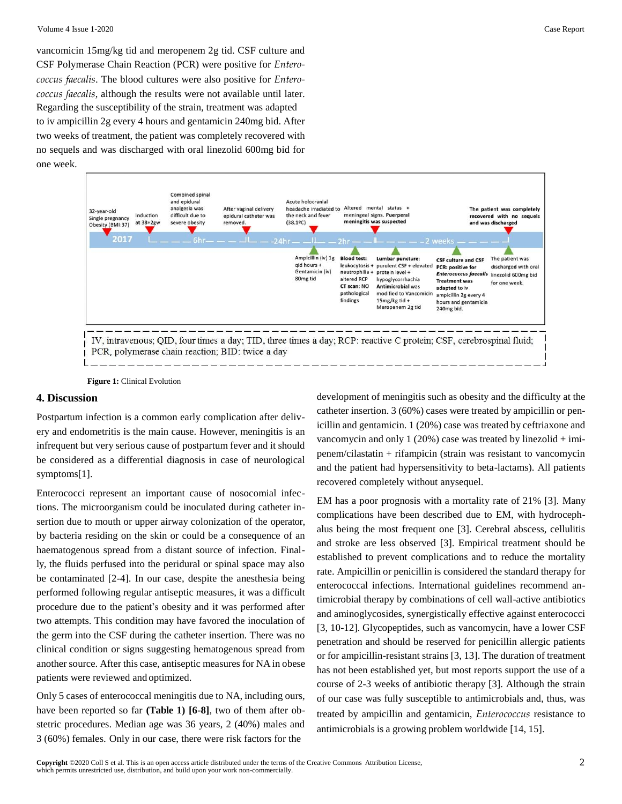vancomicin 15mg/kg tid and meropenem 2g tid. CSF culture and CSF Polymerase Chain Reaction (PCR) were positive for *Enterococcus faecalis*. The blood cultures were also positive for *Enterococcus faecalis*, although the results were not available until later. Regarding the susceptibility of the strain, treatment was adapted to iv ampicillin 2g every 4 hours and gentamicin 240mg bid. After two weeks of treatment, the patient was completely recovered with no sequels and was discharged with oral linezolid 600mg bid for one week.



**Figure 1:** Clinical Evolution

#### **4. Discussion**

Postpartum infection is a common early complication after delivery and endometritis is the main cause. However, meningitis is an infrequent but very serious cause of postpartum fever and it should be considered as a differential diagnosis in case of neurological symptoms[1].

Enterococci represent an important cause of nosocomial infections. The microorganism could be inoculated during catheter insertion due to mouth or upper airway colonization of the operator, by bacteria residing on the skin or could be a consequence of an haematogenous spread from a distant source of infection. Finally, the fluids perfused into the peridural or spinal space may also be contaminated [2-4]. In our case, despite the anesthesia being performed following regular antiseptic measures, it was a difficult procedure due to the patient's obesity and it was performed after two attempts. This condition may have favored the inoculation of the germ into the CSF during the catheter insertion. There was no clinical condition or signs suggesting hematogenous spread from another source. After this case, antiseptic measures for NA in obese patients were reviewed and optimized.

Only 5 cases of enterococcal meningitis due to NA, including ours, have been reported so far **(Table 1) [6-8]**, two of them after obstetric procedures. Median age was 36 years, 2 (40%) males and 3 (60%) females. Only in our case, there were risk factors for the

development of meningitis such as obesity and the difficulty at the catheter insertion. 3 (60%) cases were treated by ampicillin or penicillin and gentamicin. 1 (20%) case was treated by ceftriaxone and vancomycin and only 1 (20%) case was treated by linezolid  $+$  imipenem/cilastatin + rifampicin (strain was resistant to vancomycin and the patient had hypersensitivity to beta-lactams). All patients recovered completely without anysequel.

EM has a poor prognosis with a mortality rate of 21% [3]. Many complications have been described due to EM, with hydrocephalus being the most frequent one [3]. Cerebral abscess, cellulitis and stroke are less observed [3]. Empirical treatment should be established to prevent complications and to reduce the mortality rate. Ampicillin or penicillin is considered the standard therapy for enterococcal infections. International guidelines recommend antimicrobial therapy by combinations of cell wall-active antibiotics and aminoglycosides, synergistically effective against enterococci [3, 10-12]. Glycopeptides, such as vancomycin, have a lower CSF penetration and should be reserved for penicillin allergic patients or for ampicillin-resistant strains [3, 13]. The duration of treatment has not been established yet, but most reports support the use of a course of 2-3 weeks of antibiotic therapy [3]. Although the strain of our case was fully susceptible to antimicrobials and, thus, was treated by ampicillin and gentamicin, *Enterococcus* resistance to antimicrobials is a growing problem worldwide [14, 15].